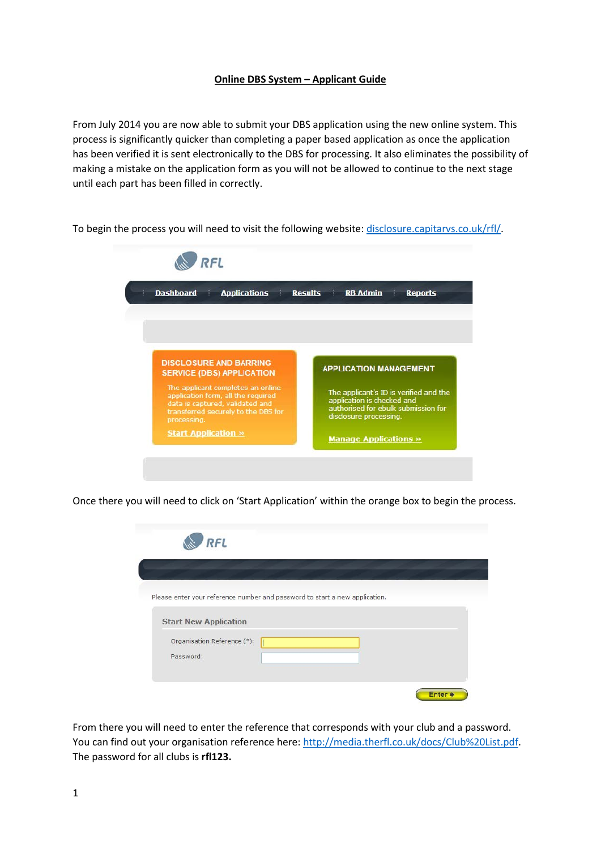## **Online DBS System – Applicant Guide**

From July 2014 you are now able to submit your DBS application using the new online system. This process is significantly quicker than completing a paper based application as once the application has been verified it is sent electronically to the DBS for processing. It also eliminates the possibility of making a mistake on the application form as you will not be allowed to continue to the next stage until each part has been filled in correctly.

To begin the process you will need to visit the following website: [disclosure.capitarvs.co.uk/rfl/.](https://disclosure.capitarvs.co.uk/rfl/)

| <b>Dashboard</b><br><b>Applications</b>                                                                                                                          | <b>Results</b><br><b>RB Admin</b><br><b>Reports</b>                                                                                   |
|------------------------------------------------------------------------------------------------------------------------------------------------------------------|---------------------------------------------------------------------------------------------------------------------------------------|
| <b>DISCLOSURE AND BARRING</b><br><b>SERVICE (DBS) APPLICATION</b>                                                                                                | <b>APPLICATION MANAGEMENT</b>                                                                                                         |
| The applicant completes an online<br>application form, all the required<br>data is captured, validated and<br>transferred securely to the DBS for<br>processing. | The applicant's ID is verified and the<br>application is checked and<br>authorised for ebulk submission for<br>disclosure processing. |
|                                                                                                                                                                  |                                                                                                                                       |

Once there you will need to click on 'Start Application' within the orange box to begin the process.

| <b>RFL</b>                                                                                                  |  |              |
|-------------------------------------------------------------------------------------------------------------|--|--------------|
|                                                                                                             |  |              |
| Please enter your reference number and password to start a new application.<br><b>Start New Application</b> |  |              |
| Organisation Reference (*):<br>Password:                                                                    |  |              |
|                                                                                                             |  | <b>Enter</b> |

From there you will need to enter the reference that corresponds with your club and a password. You can find out your organisation reference here: [http://media.therfl.co.uk/docs/Club%20List.pdf.](http://media.therfl.co.uk/docs/Club%20List.pdf) The password for all clubs is **rfl123.**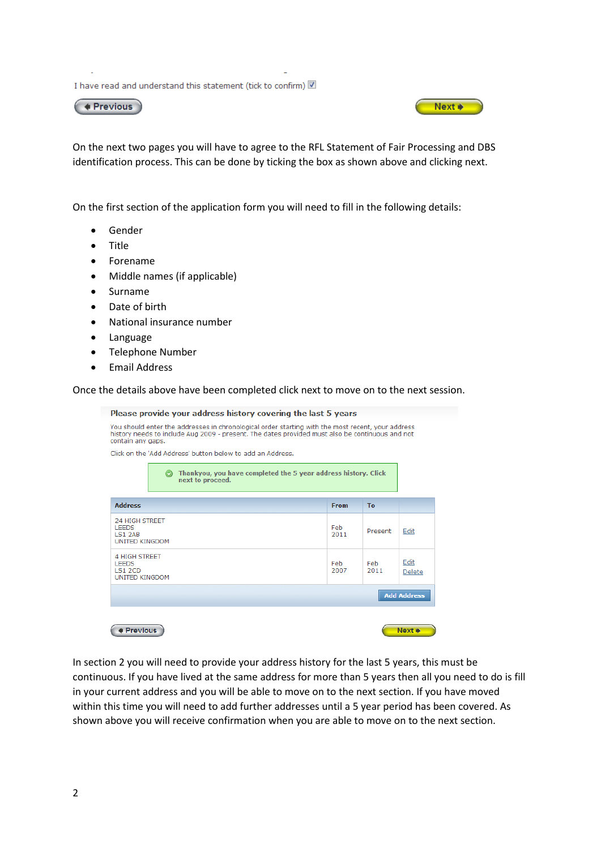I have read and understand this statement (tick to confirm) 2

 $\left($  + Previous



On the next two pages you will have to agree to the RFL Statement of Fair Processing and DBS identification process. This can be done by ticking the box as shown above and clicking next.

On the first section of the application form you will need to fill in the following details:

- Gender
- Title
- Forename
- Middle names (if applicable)
- Surname
- Date of birth
- National insurance number
- Language
- Telephone Number
- Email Address

Once the details above have been completed click next to move on to the next session.

|                                                                                                                                                                                                                           |                                                                                    | Please provide your address history covering the last 5 years |              |             |                    |
|---------------------------------------------------------------------------------------------------------------------------------------------------------------------------------------------------------------------------|------------------------------------------------------------------------------------|---------------------------------------------------------------|--------------|-------------|--------------------|
| You should enter the addresses in chronological order starting with the most recent, your address<br>history needs to include Aug 2009 - present. The dates provided must also be continuous and not<br>contain any gaps. |                                                                                    |                                                               |              |             |                    |
| Click on the 'Add Address' button below to add an Address.                                                                                                                                                                |                                                                                    |                                                               |              |             |                    |
|                                                                                                                                                                                                                           | Thankyou, you have completed the 5 year address history. Click<br>next to proceed. |                                                               |              |             |                    |
| <b>Address</b>                                                                                                                                                                                                            |                                                                                    |                                                               | <b>From</b>  | <b>To</b>   |                    |
| <b>24 HIGH STREET</b><br><b>LEEDS</b><br><b>LS1 2AB</b><br><b>UNITED KINGDOM</b>                                                                                                                                          |                                                                                    |                                                               | Feb<br>2011  | Present     | Edit               |
| 4 HIGH STREET<br><b>LEEDS</b><br><b>LS1 2CD</b><br><b>UNITED KINGDOM</b>                                                                                                                                                  |                                                                                    |                                                               | Feb.<br>2007 | Feb<br>2011 | Edit<br>Delete     |
|                                                                                                                                                                                                                           |                                                                                    |                                                               |              |             | <b>Add Address</b> |
| <b>Previous</b>                                                                                                                                                                                                           |                                                                                    |                                                               |              |             | Next of            |

In section 2 you will need to provide your address history for the last 5 years, this must be continuous. If you have lived at the same address for more than 5 years then all you need to do is fill in your current address and you will be able to move on to the next section. If you have moved within this time you will need to add further addresses until a 5 year period has been covered. As shown above you will receive confirmation when you are able to move on to the next section.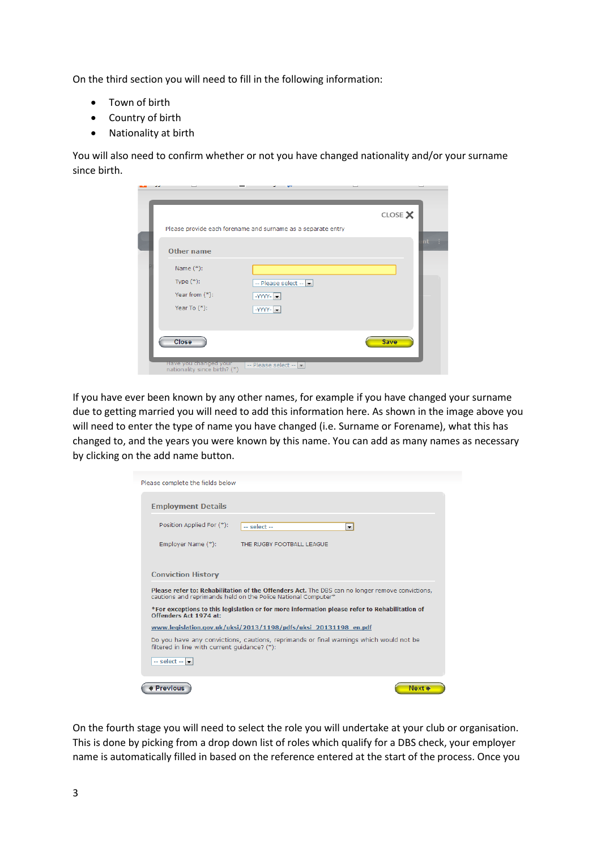On the third section you will need to fill in the following information:

- Town of birth
- Country of birth
- Nationality at birth

You will also need to confirm whether or not you have changed nationality and/or your surname since birth.

|                                                       |                                                              | CLOSE X |        |
|-------------------------------------------------------|--------------------------------------------------------------|---------|--------|
|                                                       | Please provide each forename and surname as a separate entry |         |        |
| <b>Other name</b>                                     |                                                              |         | $nt$ : |
| Name $(*)$ :                                          |                                                              |         |        |
| Type $(*)$ :                                          | -- Please select -- -                                        |         |        |
| Year from $(*)$ :                                     | $-YYYY -$                                                    |         |        |
| Year To $(*)$ :                                       | $-YYY' - \boxed{\bullet}$                                    |         |        |
| Close                                                 |                                                              | Save    |        |
| Have you changed your<br>nationality since birth? (*) | -- Please select --                                          |         |        |

If you have ever been known by any other names, for example if you have changed your surname due to getting married you will need to add this information here. As shown in the image above you will need to enter the type of name you have changed (i.e. Surname or Forename), what this has changed to, and the years you were known by this name. You can add as many names as necessary by clicking on the add name button.

| Please complete the fields below                                                                                                                                 |
|------------------------------------------------------------------------------------------------------------------------------------------------------------------|
| <b>Employment Details</b>                                                                                                                                        |
| Position Applied For (*):<br>$-$ select $-$<br>$\overline{\phantom{a}}$                                                                                          |
| Employer Name (*):<br>THE RUGBY FOOTBALL LEAGUE                                                                                                                  |
| <b>Conviction History</b>                                                                                                                                        |
| Please refer to: Rehabilitation of the Offenders Act. The DBS can no longer remove convictions,<br>cautions and reprimands held on the Police National Computer* |
| *For exceptions to this legislation or for more information please refer to Rehabilitation of<br>Offenders Act 1974 at:                                          |
| www.legislation.gov.uk/uksi/2013/1198/pdfs/uksi 20131198 en.pdf                                                                                                  |
| Do you have any convictions, cautions, reprimands or final warnings which would not be<br>filtered in line with current quidance? (*):                           |
| $-$ select $ \bullet$                                                                                                                                            |
| <b>Previous</b><br>Next $\bullet$                                                                                                                                |

On the fourth stage you will need to select the role you will undertake at your club or organisation. This is done by picking from a drop down list of roles which qualify for a DBS check, your employer name is automatically filled in based on the reference entered at the start of the process. Once you